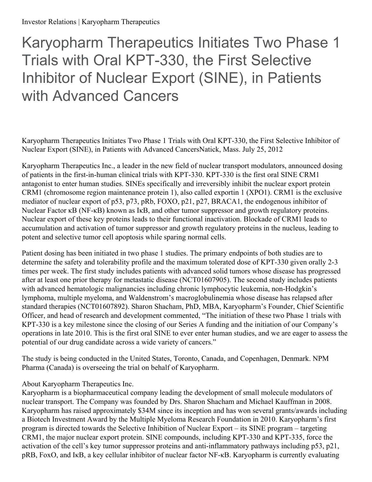## Karyopharm Therapeutics Initiates Two Phase 1 Trials with Oral KPT-330, the First Selective Inhibitor of Nuclear Export (SINE), in Patients with Advanced Cancers

Karyopharm Therapeutics Initiates Two Phase 1 Trials with Oral KPT-330, the First Selective Inhibitor of Nuclear Export (SINE), in Patients with Advanced CancersNatick, Mass. July 25, 2012

Karyopharm Therapeutics Inc., a leader in the new field of nuclear transport modulators, announced dosing of patients in the first-in-human clinical trials with KPT-330. KPT-330 is the first oral SINE CRM1 antagonist to enter human studies. SINEs specifically and irreversibly inhibit the nuclear export protein CRM1 (chromosome region maintenance protein 1), also called exportin 1 (XPO1). CRM1 is the exclusive mediator of nuclear export of p53, p73, pRb, FOXO, p21, p27, BRACA1, the endogenous inhibitor of Nuclear Factor κB (NF-κB) known as IκB, and other tumor suppressor and growth regulatory proteins. Nuclear export of these key proteins leads to their functional inactivation. Blockade of CRM1 leads to accumulation and activation of tumor suppressor and growth regulatory proteins in the nucleus, leading to potent and selective tumor cell apoptosis while sparing normal cells.

Patient dosing has been initiated in two phase 1 studies. The primary endpoints of both studies are to determine the safety and tolerability profile and the maximum tolerated dose of KPT-330 given orally 2-3 times per week. The first study includes patients with advanced solid tumors whose disease has progressed after at least one prior therapy for metastatic disease (NCT01607905). The second study includes patients with advanced hematologic malignancies including chronic lymphocytic leukemia, non-Hodgkin's lymphoma, multiple myeloma, and Waldenstrom's macroglobulinemia whose disease has relapsed after standard therapies (NCT01607892). Sharon Shacham, PhD, MBA, Karyopharm's Founder, Chief Scientific Officer, and head of research and development commented, "The initiation of these two Phase 1 trials with KPT-330 is a key milestone since the closing of our Series A funding and the initiation of our Company's operations in late 2010. This is the first oral SINE to ever enter human studies, and we are eager to assess the potential of our drug candidate across a wide variety of cancers."

The study is being conducted in the United States, Toronto, Canada, and Copenhagen, Denmark. NPM Pharma (Canada) is overseeing the trial on behalf of Karyopharm.

## About Karyopharm Therapeutics Inc.

Karyopharm is a biopharmaceutical company leading the development of small molecule modulators of nuclear transport. The Company was founded by Drs. Sharon Shacham and Michael Kauffman in 2008. Karyopharm has raised approximately \$34M since its inception and has won several grants/awards including a Biotech Investment Award by the Multiple Myeloma Research Foundation in 2010. Karyopharm's first program is directed towards the Selective Inhibition of Nuclear Export – its SINE program – targeting CRM1, the major nuclear export protein. SINE compounds, including KPT-330 and KPT-335, force the activation of the cell's key tumor suppressor proteins and anti-inflammatory pathways including p53, p21, pRB, FoxO, and IκB, a key cellular inhibitor of nuclear factor NF-κB. Karyopharm is currently evaluating